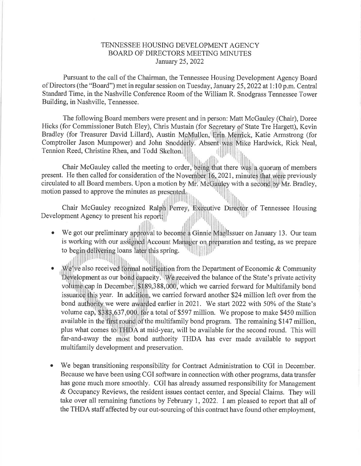## TENNESSEE HOUSING DEVELOPMENT AGENCY BOARD OF DIRECTORS MEETING MINUTES January 25,2022

Pursuant to the call of the Chairman, the Tennessee Housing Development Agency Board of Directors (the "Board") met in regular session on Tuesday, January 25,2022 at 1:10 p.m. Central Standard Time, in the Nashville Conference Room of the William R. Snodgrass Tennessee Tower Building, in Nashville, Tennessee.

The following Board members were present and in person: Matt McGauley (Chair), Doree Hicks (for Commissioner Butch Eley), Chris Mustain (for Secretary of State Tre Hargett), Kevin Bradley (for Treasurer David Lillard), Austin McMullen, Erin Merrick, Katie Armstrong (for Comptroller Jason Mumpower) and John Snodderly. Absent was Mike Hardwick, Rick Neal,<br>Tennion Beed, Christine Phea and Todd Skelton Tennion Reed, Christine Rhea, and Todd {l iii ,li

Chair McGauley called the meeting to order, being that there was a quorum of members present. He then called for consideration of the November 16, 2021, minutes that were previously circulated to all Board members. Upon a motion by Mr. McGauley with a second by Mr. Bradley, motion passed to approve the minutes as  $\mathbb{R}$ ir

Chair McGauley recognized Ralph Perrey, Executive Director of Tennessee Housing Development Agency to present his report:

- We got our preliminary approval to become a Ginnie MaelIssuer on January 13. Our team o is working with our assigned Account Manager on preparation and testing, as we prepare to begin delivering loans later this spring. il| ill
- We've also received formal notification from the Department of Economic & Community Development as our bond capacity. We received the balance of the State's private activity volume cap in December, \$189,388,000, which we carried forward for Multifamily bond issuance this year. In addition, we carried forward another \$24 million left over from the bond authority we were awarded earlier in 2021. We start 2022 with 50% of the State's volume cap,  $$383,637,000$ , for a total of \$597 million. We propose to make \$450 million available in the first round of the multifamily bond program. The remaining \$147 million, plus what comes to THDA at mid-year, will be available for the second round. This will far-and-away the most bond authority THDA has ever made available to support multifamily development and preservation. a
- o We began transitioning responsibility for Contract Administration to CGI in December. Because we have been using CGI software in connection with other programs, data transfer has gone much more smoothly. CGI has already assumed responsibility for Management & Occupancy Reviews, the resident issues contact center, and Special Claims. They will take over all remaining functions by February I,2022. I am pleased to report that all of the THDA staff affected by our out-sourcing of this contract have found other employment,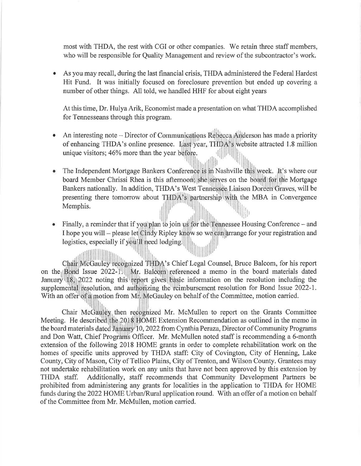most with THDA, the rest with CGI or other companies. We retain three staff members, who will be responsible for Quality Management and review of the subcontractor's work.

a As you may recall, during the last financial crisis, THDA administered the Federal Hardest Hit Fund. It was initially focused on foreclosure prevention but ended up covering <sup>a</sup> number of other things. All told, we handled HHF for about eight years

At this time, Dr. Hulya Arik, Economist made a presentation on what THDA accomplished for Tennesseans through this program.

- o An interesting note – Director of Communications Rebecca Anderson has made a priority of enhancing THDA's online presence. Last year, THDA's website attracted 1.8 million unique visitors; 46% more than the year before. i. lfr\*
- The Independent Mortgage Bankers Conference is in Nashville this week. It's where our board Member Chrissi Rhea is this afternoon; she serves on the board for the Mortgage Bankers nationally. In addition, THDA's West Tennessee Liaison Doreen Graves, will be presenting there tomorrow about THDA's partnership with the MBA in Convergence Memphis. |\*  $\| \cdot \|_1$
- Finally, a reminder that if you plan to join us for the Tennessee Housing Conference  $-$  and I hope you will – please let Cindy Ripley know so we can arrange for your registration and logistics, especially if you'll need lodging.

Chair McGauley recognized THDA's Chief Legal Counsel, Bruce Balcom, for his report on the Bond Issue 2022-1. Mr. Balcom referenced a memo in the board materials dated January 18, 2022 noting this report gives basic information on the resolution including the supplemental resolution, and authorizing the reimbursement resolution for Bond Issue 2022-1. With an offer of a motion from Mr. McGauley on behalf of the Committee, motion carried.

Chair McGauley then recognized Mr. McMullen to report on the Grants Committee Meeting. He described the 2018 HOME Extension Recommendation as outlined in the memo in the board materials dated January 10, 2022 from Cynthia Peraza, Director of Community Programs and Don Watt, Chief Programs Officer. Mr. McMullen noted staff is recommending a 6-month extension of the following 2018 HOME grants in order to complete rehabilitation work on the homes of specific units approved by THDA staff: City of Covington, City of Henning, Lake County, City of Mason, City of Tellico Plains, City of Trenton, and Wilson County. Grantees may not undertake rehabilitation work on any units that have not been approved by this extension by THDA staff. Additionally, staff recommends that Community Development Partners be prohibited from administering any grants for localities in the application to THDA for HOME funds during the 2022 HOME Urban/Rural application round. With an offer of a motion on behalf of the Committee from Mr. McMullen, motion carried.